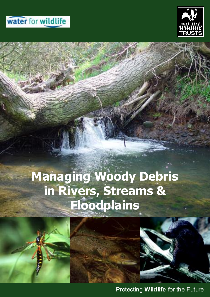## water for wildlife



# **Managing Woody Debris in Rivers, Streams & Floodplains**

Protecting **Wildlife** for the Future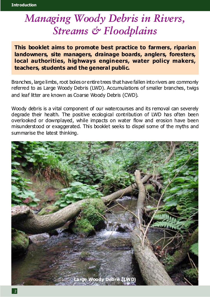## *Managing Woody Debris in Rivers, Streams & Floodplains*

**This booklet aims to promote best practice to farmers, riparian landowners, site managers, drainage boards, anglers, foresters, local authorities, highways engineers, water policy makers, teachers, students and the general public.**

Branches, large limbs, root boles or entire trees that have fallen into rivers are commonly referred to as Large Woody Debris (LWD). Accumulations of smaller branches, twigs and leaf litter are known as Coarse Woody Debris (CWD).

Woody debris is a vital component of our watercourses and its removal can severely degrade their health. The positive ecological contribution of LWD has often been overlooked or downplayed, while impacts on water flow and erosion have been misunderstood or exaggerated. This booklet seeks to dispel some of the myths and summarise the latest thinking.

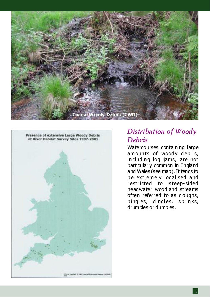



## *Distribution of Woody Debris*

Watercourses containing large amounts of woody debris, including log jams, are not particularly common in England and Wales (see map). It tends to be extrem ely localised and restricted to steep-sided headwater woodland streams often referred to as cloughs, pingles, dingles, sprinks, drumbles or dumbles.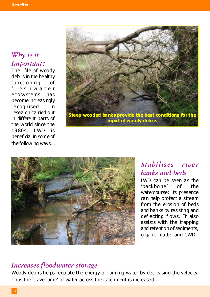## *Why is it Important?*

The rôle of woody debris in the healthy functioning of freshwater ecosystems has become increasingly recognised in research carried out in different parts of the world since the 1980s. LWD is beneficial in some of the following ways…





## *Stabilises river banks and beds*

LWD can be seen as the 'backbone' of the watercourse; its presence can help protect a stream from the erosion of beds and banks by resisting and deflecting flows. It also assists with the trapping and retention of sediments, organic matter and CWD.

### *Increases floodwater storage*

Woody debris helps regulate the energy of running water by decreasing the velocity. Thus the 'travel time' of water across the catchment is increased.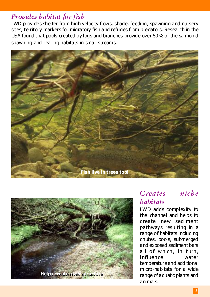### *Provides habitat for fish*

LWD provides shelter from high velocity flows, shade, feeding, spawning and nursery sites, territory markers for migratory fish and refuges from predators. Research in the USA found that pools created by logs and branches provide over 50% of the salmonid spawning and rearing habitats in small streams.





### *Creates niche habitats*

LWD adds complexity to the channel and helps to create new sediment pathways resulting in a range of habitats including chutes, pools, submerged and exposed sediment bars all of which, in turn, influence water temperature and additional micro-habitats for a wide range of aquatic plants and animals.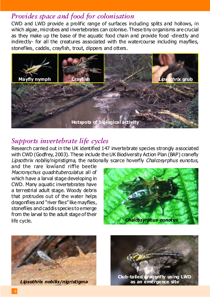## *Provides space and food for colonisation*

CWD and LWD provide a prolific range of surfaces induding splits and hollows, in which algae, microbes and invertebrates can colonise. These tiny organisms are crucial as they make up the base of the aquatic food chain and provide food -directly and indirectly- for all the creatures associated with the watercourse including mayflies, stoneflies, caddis, crayfish, trout, dippers and otters.



## *Supports invertebrate life cycles*

Research carried out in the UK identified 147 invertebrate species strongly associated with CWD (Godfrey, 2003). These include the UK Biodiversity Action Plan (BAP) cranefly Lipsothrix nobilis/nigristigma, the nationally scarce hoverfly Chalcosyrphus eunotus,

and the rare lowland riffle beetle Macronychus quadrituberculatus all of which have a larval stage developing in CWD. Many aquatic invertebrates have a terrestrial adult stage. Woody debris that protrudes out of the water helps dragonflies and "river flies" like mayflies, stoneflies and caddis species to emerge from the larval to the adult stage of their life cycle.







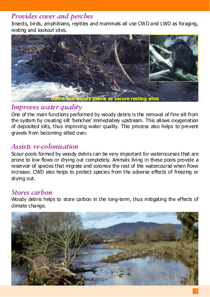## *Provides cover and perches*

Insects, birds, amphibians, reptiles and mammals all use CWD and LWD as foraging, resting and lookout sites.



## *Improves water quality*

One of the main functions performed by woody debris is the removal of fine silt from the system by creating silt 'benches' immediately upstream. This allows oxygenation of deposited silts, thus improving water quality. This process also helps to prevent gravels from becoming silted over.

## *Assists re-colonisation*

Scour pools formed by woody debris can be very important for watercourses that are prone to low flows or drying out completely. Animals living in these pools provide a reservoir of species that migrate and colonise the rest of the watercourse when flows increase. CWD also helps to protect species from the adverse effects of freezing or drying out.

## *Stores carbon*

Woody debris helps to store carbon in the long-term, thus mitigating the effects of climate change.

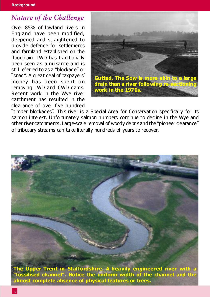## *Nature of the Challenge*

Over 85% of lowland rivers in England have been modified, deepened and straightened to provide defence for settlements and farmland established on the floodplain. LWD has traditionally been seen as a nuisance and is still referred to as a "blockage" or "snag". A great deal of taxpayers' money has been spent on removing LWD and CWD dams. Recent work in the Wye river catchment has resulted in the clearance of over five hundred



"timber blockages". This river is a Special Area for Conservation specifically for its salmon interest. Unfortunately salmon numbers continue to dedine in the Wye and other river catchments. Large-scale removal of woody debris and the "pioneer clearance" of tributary streams can take literally hundreds of years to recover.



**"fossilised channel". Notice the uniform width of the channel and the almost complete absence of physical features or trees.**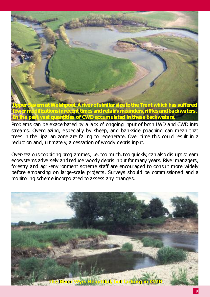

Problems can be exacerbated by a lack of ongoing input of both LWD and CWD into streams. Overgrazing, especially by sheep, and bankside poaching can mean that trees in the riparian zone are failing to regenerate. Over time this could result in a reduction and, ultimately, a cessation of woody debris input.

Over-zealous coppicing programmes, i.e. too much, too quickly, can also disrupt stream ecosystems adversely and reduce woody debris input for many years. River managers, forestry and agri-environment scheme staff are encouraged to consult more widely before embarking on large-scale projects. Surveys should be commissioned and a monitoring scheme incorporated to assess any changes.

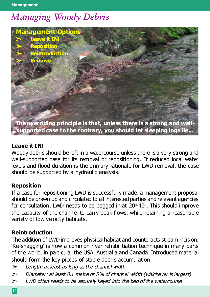## *Managing Woody Debris*



#### **Leave it IN!**

Woody debris should be left in a watercourse unless there is a very strong and well-supported case for its removal or repositioning. If reduced local water levels and flood duration is the primary rationale for LWD removal, the case should be supported by a hydraulic analysis.

#### **Reposition**

If a case for repositioning LWD is successfully made, a management proposal should be drawn up and circulated to all interested parties and relevant agencies for consultation. LWD needs to be pegged in at 20<sup>0</sup>-40<sup>0</sup>. This should improve the capacity of the channel to carry peak flows, while retaining a reasonable variety of low velocity habitats.

#### **Reintroduction**

The addition of LWD improves physical habitat and counteracts stream incision. 'Re-snagging' is now a common river rehabilitiation technique in many parts of the world, in particular the USA, Australia and Canada. Introduced material should form the key pieces of stable debris accumulation:

- $\geq$  Length: at least as long as the channel width
- $\geq$  Diameter: at least 0.1 metre or 5% of channel width (whichever is largest)
- $\geq$  LWD often needs to be securely keyed into the bed of the watercourse
- 10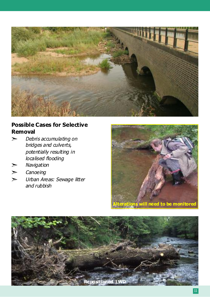

### **Possible Cases for Selective Removal**

- $\triangleright$  Debris accumulating on bridges and culverts, potentially resulting in localised flooding
- **Navigation**
- $\triangleright$  Canoeing
- $\triangleright$  Urban Areas: Sewage litter and rubbish



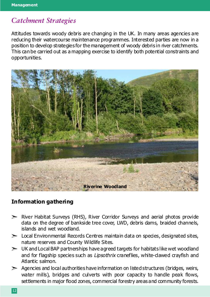## *Catchment Strategies*

Attitudes towards woody debris are changing in the UK. In many areas agencies are reducing their watercourse maintenance programmes. Interested parties are now in a position to develop strategies for the management of woody debris in river catchments. This can be carried out as a mapping exercise to identify both potential constraints and opportunities.



#### **Information gathering**

- $\triangleright$  River Habitat Surveys (RHS), River Corridor Surveys and aerial photos provide data on the degree of bankside tree cover, LWD, debris dams, braided channels, islands and wet woodland.
- $\geq$  Local Environmental Records Centres maintain data on species, designated sites, nature reserves and County Wildlife Sites.
- $\geq$  UK and Local BAP partnerships have agreed targets for habitats like wet woodland and for flagship species such as Lipsothrix craneflies, white-dawed crayfish and Atlantic salmon.
- $\geq$  Agencies and local authorities have information on listed structures (bridges, weirs, water mills), bridges and culverts with poor capacity to handle peak flows, settlements in major flood zones, commercial forestry areas and community forests.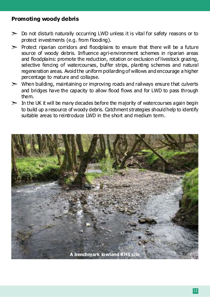#### **Promoting woody debris**

- $\geq$  Do not disturb naturally occurring LWD unless it is vital for safety reasons or to protect investments (e.g. from flooding).
- $\triangleright$  Protect riparian corridors and floodplains to ensure that there will be a future source of woody debris. Influence agri-environment schemes in riparian areas and floodplains: promote the reduction, rotation or exclusion of livestock grazing, selective fencing of watercourses, buffer strips, planting schemes and natural regeneration areas. Avoid the uniform pollarding of willows and encourage a higher percentage to mature and collapse.
- $\triangleright$  When building, maintaining or improving roads and railways ensure that culverts and bridges have the capacity to allow flood flows and for LWD to pass through them.
- $\geq$  In the UK it will be many decades before the majority of watercourses again begin to build up a resource of woody debris. Catchment strategies should help to identify suitable areas to reintroduce LWD in the short and medium term.

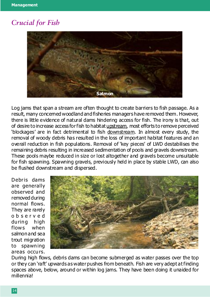## *Crucial for Fish*



Log jams that span a stream are often thought to create barriers to fish passage. As a result, many concerned woodland and fisheries managers have removed them. However, there is little evidence of natural dams hindering access for fish. The irony is that, out of desire to increase access for fish to habitat upstream, most efforts to remove perceived 'blockages' are in fact detrimental to fish downstream. In almost every study, the removal of woody debris has resulted in the loss of important habitat features and an overall reduction in fish populations. Removal of 'key pieces' of LWD destabilises the remaining debris resulting in increased sedimentation of pools and gravels downstream. These pools maybe reduced in size or lost altogether and gravels become unsuitable for fish spawning. Spawning gravels, previously held in place by stable LWD, can also be flushed downstream and dispersed.

Debris dams are generally observed and removed during normal flows. They are rarely observed during high flows when salmon and sea trout migration to spawning areas occurs.



During high flows, debris dams can become submerged as water passes over the top or they can 'raft' upwards as water pushes from beneath. Fish are very adept at finding spaces above, below, around or within log jams. They have been doing it unaided for millennia!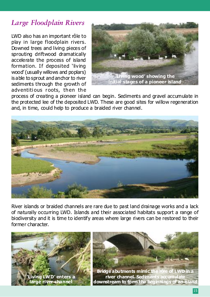## *Large Floodplain Rivers*

LWD also has an important rôle to play in large floodplain rivers. Downed trees and living pieces of sprouting driftwood dramatically accelerate the process of island formation. If deposited 'living wood' (usually willows and poplars) is able to sprout and anchor to river sediments through the growth of adventitious roots, then the



process of creating a pioneer island can begin. Sediments and gravel accumulate in the protected lee of the deposited LWD. These are good sites for willow regeneration and, in time, could help to produce a braided river channel.



River islands or braided channels are rare due to past land drainage works and a lack of naturally occurring LWD. Islands and their associated habitats support a range of biodiversity and it is time to identify areas where large rivers can be restored to their former character.

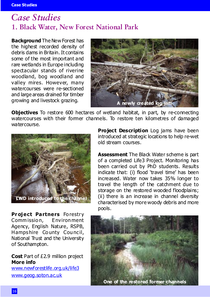## *Case Studies* **1. Black Water, New Forest National Park**

**Background** The New Forest has the highest recorded density of debris dams in Britain. It contains some of the most important and rare wetlands in Europe including spectacular stands of riverine woodland, bog woodland and valley mires. However, many watercourses were re-sectioned and large areas drained for timber growing and livestock grazing.



**Objectives** To restore 600 hectares of wetland habitat, in part, by re-connecting watercourses with their former channels. To restore ten kilometres of damaged watercourse.



**Project Partners Forestry** Commission, Environment Agency, English Nature, RSPB, Hampshire County Council, National Trust and the University of Southampton.

**Cost** Part of £2.9 million project **More info**

www.newforestlife.org.uk/life3 www.geog.soton.ac.uk

**Project Description** Log jams have been introduced at strategic locations to help re-wet old stream courses.

**Assessment** The Black Water scheme is part of a completed Life3 Project. Monitoring has been carried out by PhD students. Results indicate that: (i) flood 'travel time' has been increased. Water now takes 35% longer to travel the length of the catchment due to storage on the restored wooded floodplains; (ii) there is an increase in channel diversity characterised by more woody debris and more pools.

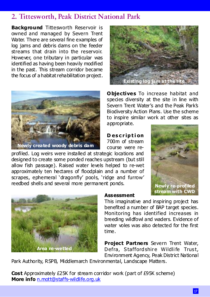## **2. Tittesworth, Peak District National Park**

**Background** Tittesworth Reservoir is owned and managed by Severn Trent Water. There are several fine examples of log jams and debris dams on the feeder streams that drain into the reservoir. However, one tributary in particular was identified as having been heavily modified in the past. This stream corridor became the focus of a habitat rehabilitation project.



**Existing log jam at th** 

**Objectives** To increase habitat and species diversity at the site in line with Severn Trent Water's and the Peak Park's Biodiversity Action Plans. Use the scheme to inspire similar work at other sites as appropriate.

**D escription** 700m of stream course were re-

profiled. Log weirs were installed at strategic locations and designed to create some ponded reaches upstream (but still allow fish passage). Raised water levels helped to re-wet approximately ten hectares of floodplain and a number of scrapes, ephemeral 'dragonfly' pools, 'ridge and furrow' reedbed shells and several more permanent ponds.





#### **Assessment**

This imaginative and inspiring project has benefited a number of BAP target species. Monitoring has identified increases in breeding wildfowl and waders. Evidence of water voles was also detected for the first time.

**Project Partners** Severn Trent Water, Defra, Staffordshire Wildlife Trust, Environment Agency, Peak District National

Park Authority, RSPB, Middlemarch Environmental, Landscape Matters.

**Cost** Approximately £25K for stream corridor work (part of £95K scheme) **More info** n.mott@staffs-wildlife.org.uk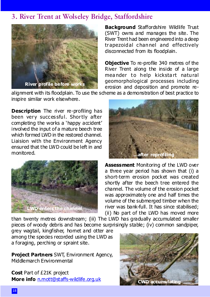## **3. River Trent at Wolseley Bridge, Staffordshire**



**Background** Staffordshire Wildlife Trust (SWT) owns and manages the site. The River Trent had been engineered into a deep trapezoidal channel and effectively disconnected from its floodplain.

**Objective** To re-profile 340 metres of the River Trent along the inside of a large meander to help kickstart natural geomorphological processes including erosion and deposition and promote re-

alignment with its floodplain. To use the scheme as a demonstration of best practice to inspire similar work elsewhere.

**Description** The river re-profiling has been very successful. Shortly after completing the works a 'happy accident' involved the input of a mature beech tree which formed LWD in the restored channel. Liaision with the Environment Agency ensured that the LWD could be left in and monitored.





**Assessment** Monitoring of the LWD over a three year period has shown that (i) a short-term erosion pocket was created shortly after the beech tree entered the channel. The volume of the erosion pocket was approximately one and half times the volume of the submerged timber when the river was bank-full. It has since stabilised; (ii) No part of the LWD has moved more

than twenty metres downstream; (iii) The LWD has gradually accumulated smaller pieces of woody debris and has become surprisingly stable; (iv) common sandpiper,

grey wagtail, kingfisher, hornet and otter are among the species recorded using the LWD as a foraging, perching or spraint site.

**Project Partners** SWT, Environment Agency, Middlemarch Environmental

**Cost** Part of £21K project **More info** n.mott@staffs-wildlife.org.uk

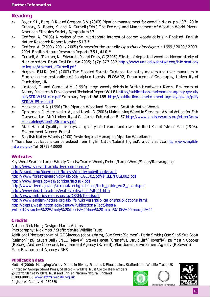#### **Reading**

- $\geq$  Boyer, K.L., Berg, D.R. and Gregory, S.V. (2003) Riparian management for wood in rivers. pp. 407-420 In Gregory, S., Boyer, K. and A. Gurnell (Eds.) The Ecology and Management of Wood in World Rivers. American Fisheries Society Symposium 37
- $\geq$  Godfrey, A. (2003) A review of the invertebrate interest of coarse woody debris in England. English Nature Research Report Number **513 \***
- $\geq$  Godfrey, A. (2000 / 2001 / 2005) Surveys for the granefly Lipsothrix nigristigma in 1999 / 2000 / 2003-2004. English Nature Research Reports **351**, **410 \***
- $\geq$  Gurnell, A., Tockner, K., Edwards, P. and Petts, G (2005) Effects of deposited wood on biocomplexity of river corridors. Front Ecol Environ 2005; 3(7): 377-382 http://www.unc.edu/depts/geog/information/ colloquia/Abstract\_aGurnell.pdf
- $\geq$  Hughes, F.M.R. (ed.) (2003) The Flooded Forest: Guidance for policy makers and river managers in Europe on the restoration of floodplain forests. FLOBAR2, Department of Geography, University of Cambridge, UK
- $\geq$  Linstead, C. and Gurnell A.M. (1999) Large woody debris in British Headwater Rivers. Environment Agency Research & Development Technical Report **W 181**http://publications.environment-agency.gov.uk/ pdf/STR-W181-e-e.pdf Summary Report: **W 185** http://publications.environment-agency.gov.uk/pdf/ STR-W185-e-e.pdf
- $>$  Mackenzie, N.A. (1996) The Riparian Woodland Ecotone. Scottish Native Woods
- $\geq$  Opperman, J., Merenleder, A., and Lewis, D (2006) Maintaining Wood in Streams: A Vital Action for Fish Conservation. ANR University of California Publication 8157 http://www.landstewards.org/otherDocs/ MaintainingWoodInStreams.pdf
- $\triangleright$  River Habitat Quality: the physical quality of streams and rivers in the UK and Isle of Man (1998). Environment Agency, Bristol
- Scottish Native Woods (2000) Restoring and Managing Riparian Woodlands

\* These free publications can be ordered from English Nature/Natural England's enquiry service http://www.englishnature.org.uk Tel. 01733 455000

#### **Websites**

Key Word Search: Large Woody Debris/Coarse Woody Debris/Large Wood/Snags/Re-snagging http://www.sbes.stir.ac.uk/riversconference/ http://panda.org/downloads/forests/deadwoodwithnotes.pdf

http://www.forestresearch.gov.uk/pdf/FCGL002.pdf/\$FILE/FCGL002.pdf http://www.rivers.gov.au/acrobat/facts07.pdf http://www.rivers.gov.au/acrobat/techguidelines/tech\_guide\_vol2\_chapb.pdf http://www.dnr.state.oh.us/water/pubs/fs\_st/stfs21.htm http://www.ontariostreams.on.ca/OSRM/Tech6.pdf http://www.english-nature.org.uk/lifeinukrivers/publications/publications.html http://depts.washington.edu/cssuw/Publications/FactSheets/ lwd.pdf#search=%22Woody%20debris%20how%20much%20is%20enough%22

#### **Credits**

Author: Nick Mott; Design: Martin Adams Photography: Nick Mott / Staffordshire Wildlife Trust Additional Photography: p1 GC Slawson (debris dam), Sue Scott (Salmon), Darin Smith (Otter); p5 Sue Scott (Salmon); p6 Stuart Ball / JNCC (Mayfly), Steve Hewitt (Cranefly), David Iliff (Hoverfly); p8 Martin Cooper (R.Sow), Andrew Crawford, Environment Agency (R.Trent), Alan Jones, Environment Agency (R.Severn) Map: Environment Agency / RHS

#### **Publication data**

Mott, N (2006) 'Managing Woody Debris in Rivers, Streams & Floodplains'. Staffordshire Wildlife Trust, UK Printed by George Street Press, Stafford – Wildlife Trust Corporate Members © Staffordshire Wildlife Trust and English Nature/Natural England 01889-880100 www.staffs-wildlife.org.uk Registered Charity No.259558